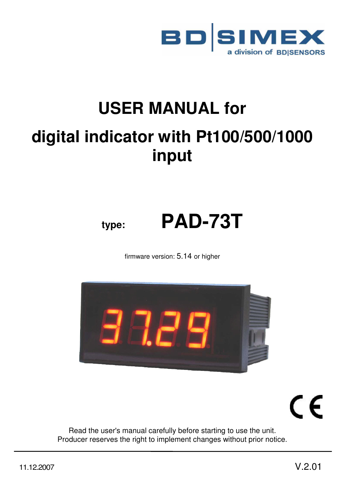

# **USER MANUAL for digital indicator with Pt100/500/1000 input**

# **type: PAD-73T**

firmware version: 5.14 or higher



CE

Read the user's manual carefully before starting to use the unit. Producer reserves the right to implement changes without prior notice.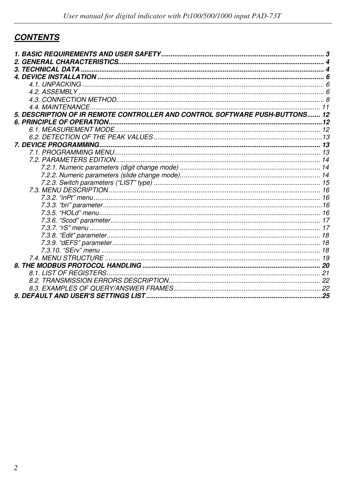# **CONTENTS**

| 5. DESCRIPTION OF IR REMOTE CONTROLLER AND CONTROL SOFTWARE PUSH-BUTTONS 12 |  |
|-----------------------------------------------------------------------------|--|
|                                                                             |  |
|                                                                             |  |
|                                                                             |  |
|                                                                             |  |
|                                                                             |  |
|                                                                             |  |
|                                                                             |  |
|                                                                             |  |
|                                                                             |  |
|                                                                             |  |
|                                                                             |  |
|                                                                             |  |
|                                                                             |  |
|                                                                             |  |
|                                                                             |  |
|                                                                             |  |
|                                                                             |  |
|                                                                             |  |
|                                                                             |  |
|                                                                             |  |
|                                                                             |  |
|                                                                             |  |
|                                                                             |  |
|                                                                             |  |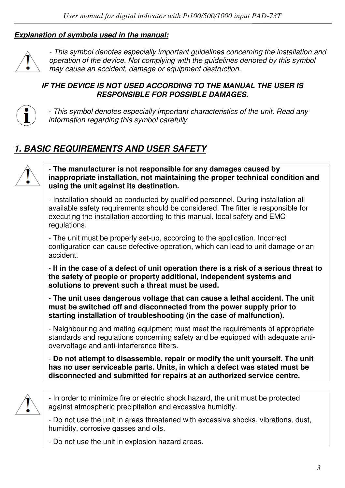#### *Explanation of symbols used in the manual:*



*- This symbol denotes especially important guidelines concerning the installation and operation of the device. Not complying with the guidelines denoted by this symbol may cause an accident, damage or equipment destruction.*

#### *IF THE DEVICE IS NOT USED ACCORDING TO THE MANUAL THE USER IS RESPONSIBLE FOR POSSIBLE DAMAGES.*



*- This symbol denotes especially important characteristics of the unit. Read any information regarding this symbol carefully* 

# *1. BASIC REQUIREMENTS AND USER SAFETY*



- **The manufacturer is not responsible for any damages caused by inappropriate installation, not maintaining the proper technical condition and using the unit against its destination.** 

- Installation should be conducted by qualified personnel. During installation all available safety requirements should be considered. The fitter is responsible for executing the installation according to this manual, local safety and EMC regulations.

- The unit must be properly set-up, according to the application. Incorrect configuration can cause defective operation, which can lead to unit damage or an accident.

- **If in the case of a defect of unit operation there is a risk of a serious threat to the safety of people or property additional, independent systems and solutions to prevent such a threat must be used.** 

- **The unit uses dangerous voltage that can cause a lethal accident. The unit must be switched off and disconnected from the power supply prior to starting installation of troubleshooting (in the case of malfunction).** 

- Neighbouring and mating equipment must meet the requirements of appropriate standards and regulations concerning safety and be equipped with adequate antiovervoltage and anti-interference filters.

- **Do not attempt to disassemble, repair or modify the unit yourself. The unit has no user serviceable parts. Units, in which a defect was stated must be disconnected and submitted for repairs at an authorized service centre.** 



- In order to minimize fire or electric shock hazard, the unit must be protected against atmospheric precipitation and excessive humidity.

- Do not use the unit in areas threatened with excessive shocks, vibrations, dust, humidity, corrosive gasses and oils.

- Do not use the unit in explosion hazard areas.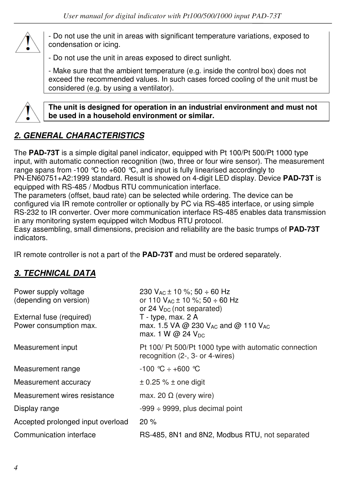

- Do not use the unit in areas with significant temperature variations, exposed to condensation or icing.

- Do not use the unit in areas exposed to direct sunlight.

- Make sure that the ambient temperature (e.g. inside the control box) does not exceed the recommended values. In such cases forced cooling of the unit must be considered (e.g. by using a ventilator).



**The unit is designed for operation in an industrial environment and must not be used in a household environment or similar.** 

# *2. GENERAL CHARACTERISTICS*

The **PAD-73T** is a simple digital panel indicator, equipped with Pt 100/Pt 500/Pt 1000 type input, with automatic connection recognition (two, three or four wire sensor). The measurement range spans from -100  $\degree$ C to +600  $\degree$ C, and input is fully linearised accordingly to PN-EN60751+A2:1999 standard. Result is showed on 4-digit LED display. Device **PAD-73T** is equipped with RS-485 / Modbus RTU communication interface.

The parameters (offset, baud rate) can be selected while ordering. The device can be configured via IR remote controller or optionally by PC via RS-485 interface, or using simple RS-232 to IR converter. Over more communication interface RS-485 enables data transmission in any monitoring system equipped witch Modbus RTU protocol.

Easy assembling, small dimensions, precision and reliability are the basic trumps of **PAD-73T**  indicators.

IR remote controller is not a part of the **PAD-73T** and must be ordered separately.

# *3. TECHNICAL DATA*

| Power supply voltage                               | 230 $V_{AC}$ ± 10 %; 50 ÷ 60 Hz                                                                                                               |
|----------------------------------------------------|-----------------------------------------------------------------------------------------------------------------------------------------------|
| (depending on version)                             | or 110 $V_{AC}$ ± 10 %; 50 ÷ 60 Hz                                                                                                            |
| External fuse (required)<br>Power consumption max. | or 24 $V_{DC}$ (not separated)<br>T - type, max. 2 A<br>max. 1.5 VA @ 230 V <sub>AC</sub> and @ 110 V <sub>AC</sub><br>max. 1 W @ 24 $V_{DC}$ |
| Measurement input                                  | Pt 100/ Pt 500/Pt 1000 type with automatic connection<br>recognition (2-, 3- or 4-wires)                                                      |
| Measurement range                                  | $-100 °C \div +600 °C$                                                                                                                        |
| Measurement accuracy                               | $\pm$ 0.25 % $\pm$ one digit                                                                                                                  |
| Measurement wires resistance                       | max. 20 $\Omega$ (every wire)                                                                                                                 |
| Display range                                      | $-999 \div 9999$ , plus decimal point                                                                                                         |
| Accepted prolonged input overload                  | 20%                                                                                                                                           |
| Communication interface                            | RS-485, 8N1 and 8N2, Modbus RTU, not separated                                                                                                |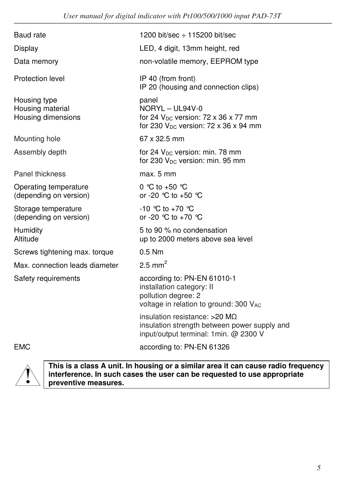| Baud rate                                              | 1200 bit/sec $\div$ 115200 bit/sec                                                                                               |
|--------------------------------------------------------|----------------------------------------------------------------------------------------------------------------------------------|
| Display                                                | LED, 4 digit, 13mm height, red                                                                                                   |
| Data memory                                            | non-volatile memory, EEPROM type                                                                                                 |
| Protection level                                       | IP 40 (from front)<br>IP 20 (housing and connection clips)                                                                       |
| Housing type<br>Housing material<br>Housing dimensions | panel<br>NORYL - UL94V-0<br>for 24 $V_{DC}$ version: 72 x 36 x 77 mm<br>for 230 $V_{DC}$ version: 72 x 36 x 94 mm                |
| Mounting hole                                          | 67 x 32.5 mm                                                                                                                     |
| Assembly depth                                         | for 24 V <sub>DC</sub> version: min. 78 mm<br>for 230 $V_{DC}$ version: min. 95 mm                                               |
| Panel thickness                                        | max. 5 mm                                                                                                                        |
| Operating temperature<br>(depending on version)        | 0 °C to +50 °C<br>or -20 $^{\circ}$ C to +50 $^{\circ}$ C                                                                        |
| Storage temperature<br>(depending on version)          | $-10$ °C to $+70$ °C<br>or -20 $^{\circ}$ C to +70 $^{\circ}$ C                                                                  |
| Humidity<br>Altitude                                   | 5 to 90 % no condensation<br>up to 2000 meters above sea level                                                                   |
| Screws tightening max. torque                          | $0.5$ Nm                                                                                                                         |
| Max. connection leads diameter                         | $2.5$ mm <sup>2</sup>                                                                                                            |
| Safety requirements                                    | according to: PN-EN 61010-1<br>installation category: II<br>pollution degree: 2<br>voltage in relation to ground: 300 VAC        |
|                                                        | insulation resistance: $>20$ M $\Omega$<br>insulation strength between power supply and<br>input/output terminal: 1min. @ 2300 V |

EMC according to: PN-EN 61326



**This is a class A unit. In housing or a similar area it can cause radio frequency interference. In such cases the user can be requested to use appropriate preventive measures.**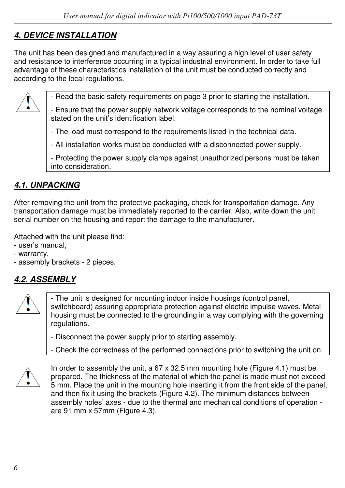# *4. DEVICE INSTALLATION*

The unit has been designed and manufactured in a way assuring a high level of user safety and resistance to interference occurring in a typical industrial environment. In order to take full advantage of these characteristics installation of the unit must be conducted correctly and according to the local regulations.



- Read the basic safety requirements on page 3 prior to starting the installation.

- Ensure that the power supply network voltage corresponds to the nominal voltage stated on the unit's identification label.

- The load must correspond to the requirements listed in the technical data.

- All installation works must be conducted with a disconnected power supply.

- Protecting the power supply clamps against unauthorized persons must be taken into consideration.

# *4.1. UNPACKING*

After removing the unit from the protective packaging, check for transportation damage. Any transportation damage must be immediately reported to the carrier. Also, write down the unit serial number on the housing and report the damage to the manufacturer.

Attached with the unit please find:

- user's manual,
- warranty,
- assembly brackets 2 pieces.

# *4.2. ASSEMBLY*



- The unit is designed for mounting indoor inside housings (control panel, switchboard) assuring appropriate protection against electric impulse waves. Metal housing must be connected to the grounding in a way complying with the governing regulations.

- Disconnect the power supply prior to starting assembly.

- Check the correctness of the performed connections prior to switching the unit on.



In order to assembly the unit, a  $67 \times 32.5$  mm mounting hole (Figure 4.1) must be prepared. The thickness of the material of which the panel is made must not exceed 5 mm. Place the unit in the mounting hole inserting it from the front side of the panel, and then fix it using the brackets (Figure 4.2). The minimum distances between assembly holes' axes - due to the thermal and mechanical conditions of operation are 91 mm x 57mm (Figure 4.3).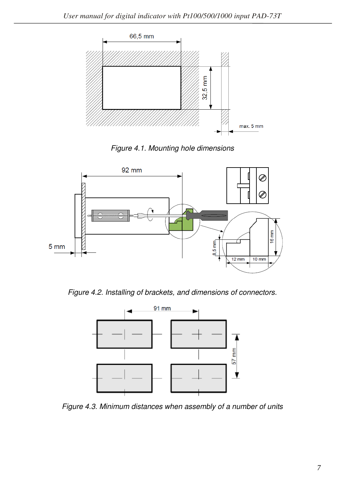

*Figure 4.1. Mounting hole dimensions* 



*Figure 4.2. Installing of brackets, and dimensions of connectors.*



*Figure 4.3. Minimum distances when assembly of a number of units*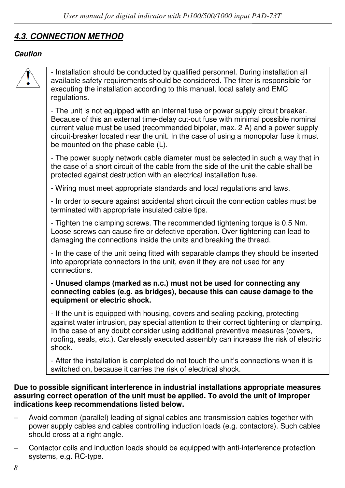# *4.3. CONNECTION METHOD*

#### *Caution*



- Installation should be conducted by qualified personnel. During installation all available safety requirements should be considered. The fitter is responsible for executing the installation according to this manual, local safety and EMC regulations.

- The unit is not equipped with an internal fuse or power supply circuit breaker. Because of this an external time-delay cut-out fuse with minimal possible nominal current value must be used (recommended bipolar, max. 2 A) and a power supply circuit-breaker located near the unit. In the case of using a monopolar fuse it must be mounted on the phase cable (L).

- The power supply network cable diameter must be selected in such a way that in the case of a short circuit of the cable from the side of the unit the cable shall be protected against destruction with an electrical installation fuse.

- Wiring must meet appropriate standards and local regulations and laws.

- In order to secure against accidental short circuit the connection cables must be terminated with appropriate insulated cable tips.

- Tighten the clamping screws. The recommended tightening torque is 0.5 Nm. Loose screws can cause fire or defective operation. Over tightening can lead to damaging the connections inside the units and breaking the thread.

- In the case of the unit being fitted with separable clamps they should be inserted into appropriate connectors in the unit, even if they are not used for any connections.

#### **- Unused clamps (marked as n.c.) must not be used for connecting any connecting cables (e.g. as bridges), because this can cause damage to the equipment or electric shock.**

- If the unit is equipped with housing, covers and sealing packing, protecting against water intrusion, pay special attention to their correct tightening or clamping. In the case of any doubt consider using additional preventive measures (covers, roofing, seals, etc.). Carelessly executed assembly can increase the risk of electric shock.

- After the installation is completed do not touch the unit's connections when it is switched on, because it carries the risk of electrical shock.

#### **Due to possible significant interference in industrial installations appropriate measures assuring correct operation of the unit must be applied. To avoid the unit of improper indications keep recommendations listed below.**

- Avoid common (parallel) leading of signal cables and transmission cables together with power supply cables and cables controlling induction loads (e.g. contactors). Such cables should cross at a right angle.
- Contactor coils and induction loads should be equipped with anti-interference protection systems, e.g. RC-type.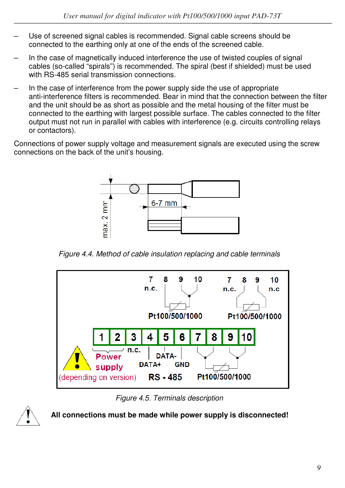- Use of screened signal cables is recommended. Signal cable screens should be connected to the earthing only at one of the ends of the screened cable.
- In the case of magnetically induced interference the use of twisted couples of signal cables (so-called "spirals") is recommended. The spiral (best if shielded) must be used with RS-485 serial transmission connections.
- In the case of interference from the power supply side the use of appropriate anti-interference filters is recommended. Bear in mind that the connection between the filter and the unit should be as short as possible and the metal housing of the filter must be connected to the earthing with largest possible surface. The cables connected to the filter output must not run in parallel with cables with interference (e.g. circuits controlling relays or contactors).

Connections of power supply voltage and measurement signals are executed using the screw connections on the back of the unit's housing.



*Figure 4.4. Method of cable insulation replacing and cable terminals*



*Figure 4.5. Terminals description*



**All connections must be made while power supply is disconnected!**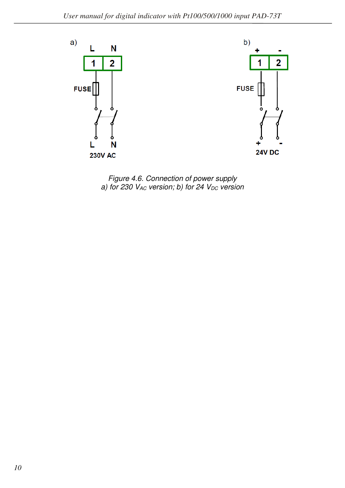

*Figure 4.6. Connection of power supply a) for 230 VAC version; b) for 24 VDC version*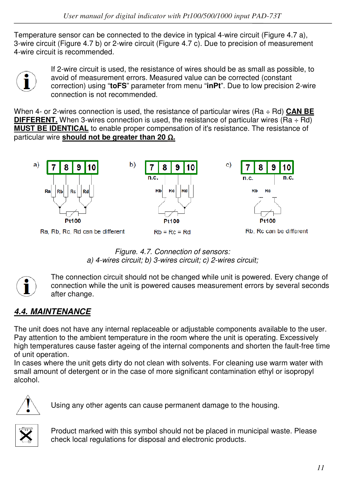Temperature sensor can be connected to the device in typical 4-wire circuit (Figure 4.7 a), 3-wire circuit (Figure 4.7 b) or 2-wire circuit (Figure 4.7 c). Due to precision of measurement 4-wire circuit is recommended.



If 2-wire circuit is used, the resistance of wires should be as small as possible, to avoid of measurement errors. Measured value can be corrected (constant correction) using "**toFS**" parameter from menu "**inPt**". Due to low precision 2-wire connection is not recommended.

When 4- or 2-wires connection is used, the resistance of particular wires (Ra ÷ Rd) **CAN BE DIFFERENT.** When 3-wires connection is used, the resistance of particular wires  $(Ra \div Rd)$ **MUST BE IDENTICAL** to enable proper compensation of it's resistance. The resistance of particular wire **should not be greater than 20** Ω**.** 



*Figure. 4.7. Connection of sensors: a) 4-wires circuit; b) 3-wires circuit; c) 2-wires circuit;* 



The connection circuit should not be changed while unit is powered. Every change of connection while the unit is powered causes measurement errors by several seconds after change.

# *4.4. MAINTENANCE*

The unit does not have any internal replaceable or adjustable components available to the user. Pay attention to the ambient temperature in the room where the unit is operating. Excessively high temperatures cause faster ageing of the internal components and shorten the fault-free time of unit operation.

In cases where the unit gets dirty do not clean with solvents. For cleaning use warm water with small amount of detergent or in the case of more significant contamination ethyl or isopropyl alcohol.



Using any other agents can cause permanent damage to the housing.



Product marked with this symbol should not be placed in municipal waste. Please check local regulations for disposal and electronic products.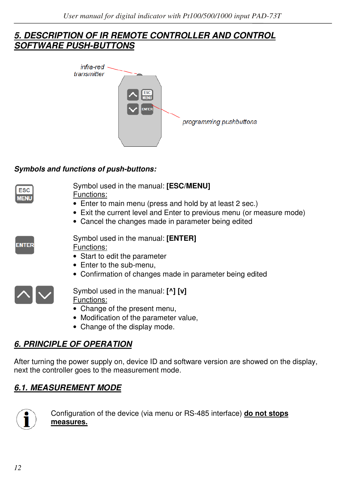### *5. DESCRIPTION OF IR REMOTE CONTROLLER AND CONTROL SOFTWARE PUSH-BUTTONS*



#### *Symbols and functions of push-buttons:*

| <b>ESC</b><br><b>MENU</b> | Symbol used in the manual: [ESC/MENU]<br>Functions:<br>• Enter to main menu (press and hold by at least 2 sec.)<br>• Exit the current level and Enter to previous menu (or measure mode)<br>• Cancel the changes made in parameter being edited |
|---------------------------|-------------------------------------------------------------------------------------------------------------------------------------------------------------------------------------------------------------------------------------------------|
| <b>ENTER</b>              | Symbol used in the manual: [ENTER]<br>Functions:<br>• Start to edit the parameter<br>• Enter to the sub-menu,<br>• Confirmation of changes made in parameter being edited                                                                       |
|                           | Symbol used in the manual: [^] [v]<br>Functions:<br>• Change of the present menu,<br>• Modification of the parameter value,                                                                                                                     |

• Change of the display mode.

# *6. PRINCIPLE OF OPERATION*

After turning the power supply on, device ID and software version are showed on the display, next the controller goes to the measurement mode.

# *6.1. MEASUREMENT MODE*



Configuration of the device (via menu or RS-485 interface) **do not stops measures.**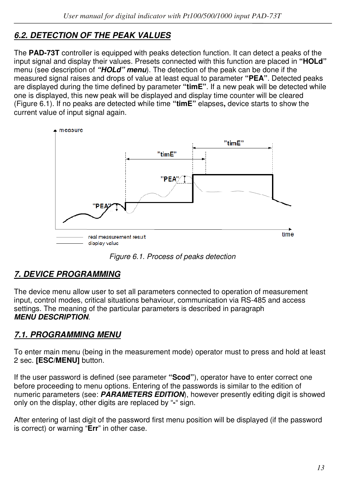# *6.2. DETECTION OF THE PEAK VALUES*

The **PAD-73T** controller is equipped with peaks detection function. It can detect a peaks of the input signal and display their values. Presets connected with this function are placed in **"HOLd"**  menu (see description of *"HOLd" menu*). The detection of the peak can be done if the measured signal raises and drops of value at least equal to parameter **"PEA"**. Detected peaks are displayed during the time defined by parameter **"timE"**. If a new peak will be detected while one is displayed, this new peak will be displayed and display time counter will be cleared (Figure 6.1). If no peaks are detected while time **"timE"** elapses**,** device starts to show the current value of input signal again.



*Figure 6.1. Process of peaks detection* 

# *7. DEVICE PROGRAMMING*

The device menu allow user to set all parameters connected to operation of measurement input, control modes, critical situations behaviour, communication via RS-485 and access settings. The meaning of the particular parameters is described in paragraph *MENU DESCRIPTION*.

# *7.1. PROGRAMMING MENU*

To enter main menu (being in the measurement mode) operator must to press and hold at least 2 sec. **[ESC/MENU]** button.

If the user password is defined (see parameter **"Scod"**), operator have to enter correct one before proceeding to menu options. Entering of the passwords is similar to the edition of numeric parameters (see: *PARAMETERS EDITION*), however presently editing digit is showed only on the display, other digits are replaced by "**-**" sign.

After entering of last digit of the password first menu position will be displayed (if the password is correct) or warning "**Err**" in other case.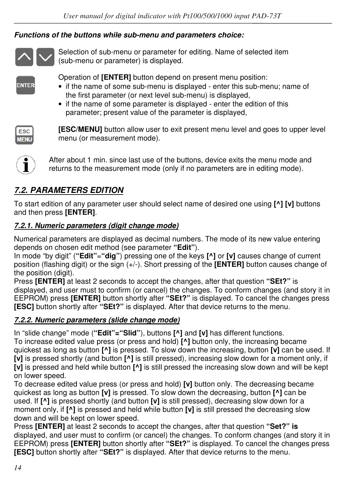#### *Functions of the buttons while sub-menu and parameters choice:*



Selection of sub-menu or parameter for editing. Name of selected item (sub-menu or parameter) is displayed.

Operation of **[ENTER]** button depend on present menu position:

- if the name of some sub-menu is displayed enter this sub-menu; name of the first parameter (or next level sub-menu) is displayed,
- if the name of some parameter is displayed enter the edition of this parameter; present value of the parameter is displayed,

| ______ |  |
|--------|--|

**ENTER** 

**[ESC/MENU]** button allow user to exit present menu level and goes to upper level menu (or measurement mode).



After about 1 min. since last use of the buttons, device exits the menu mode and returns to the measurement mode (only if no parameters are in editing mode).

# *7.2. PARAMETERS EDITION*

To start edition of any parameter user should select name of desired one using **[^] [v]** buttons and then press **[ENTER]**.

### *7.2.1. Numeric parameters (digit change mode)*

Numerical parameters are displayed as decimal numbers. The mode of its new value entering depends on chosen edit method (see parameter **"Edit"**).

In mode "by digit" (**"Edit"**=**"dig"**) pressing one of the keys **[^]** or **[v]** causes change of current position (flashing digit) or the sign (+/-). Short pressing of the **[ENTER]** button causes change of the position (digit).

Press **[ENTER]** at least 2 seconds to accept the changes, after that question **"SEt?"** is displayed, and user must to confirm (or cancel) the changes. To conform changes (and story it in EEPROM) press **[ENTER]** button shortly after **"SEt?"** is displayed. To cancel the changes press **[ESC]** button shortly after **"SEt?"** is displayed. After that device returns to the menu.

#### *7.2.2. Numeric parameters (slide change mode)*

In "slide change" mode (**"Edit"="Slid"**), buttons **[^]** and **[v]** has different functions.

To increase edited value press (or press and hold) **[^]** button only, the increasing became quickest as long as button **[^]** is pressed. To slow down the increasing, button **[v]** can be used. If **[v]** is pressed shortly (and button **[^]** is still pressed), increasing slow down for a moment only, if **[v]** is pressed and held while button **[^]** is still pressed the increasing slow down and will be kept on lower speed.

To decrease edited value press (or press and hold) **[v]** button only. The decreasing became quickest as long as button **[v]** is pressed. To slow down the decreasing, button **[^]** can be used. If **[^]** is pressed shortly (and button **[v]** is still pressed), decreasing slow down for a moment only, if **[^]** is pressed and held while button **[v]** is still pressed the decreasing slow down and will be kept on lower speed.

Press **[ENTER]** at least 2 seconds to accept the changes, after that question **"Set?" is**  displayed, and user must to confirm (or cancel) the changes. To conform changes (and story it in EEPROM) press **[ENTER]** button shortly after **"SEt?"** is displayed. To cancel the changes press **[ESC]** button shortly after **"SEt?"** is displayed. After that device returns to the menu.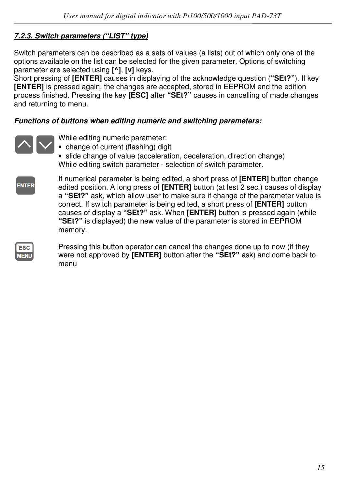#### *7.2.3. Switch parameters ("LIST" type)*

Switch parameters can be described as a sets of values (a lists) out of which only one of the options available on the list can be selected for the given parameter. Options of switching parameter are selected using **[^]**, **[v]** keys.

Short pressing of **[ENTER]** causes in displaying of the acknowledge question (**"SEt?"**). If key **[ENTER]** is pressed again, the changes are accepted, stored in EEPROM end the edition process finished. Pressing the key **[ESC]** after **"SEt?"** causes in cancelling of made changes and returning to menu.

#### *Functions of buttons when editing numeric and switching parameters:*



While editing numeric parameter:

• change of current (flashing) digit

• slide change of value (acceleration, deceleration, direction change) While editing switch parameter - selection of switch parameter.



If numerical parameter is being edited, a short press of **[ENTER]** button change edited position. A long press of **[ENTER]** button (at lest 2 sec.) causes of display a **"SEt?"** ask, which allow user to make sure if change of the parameter value is correct. If switch parameter is being edited, a short press of **[ENTER]** button causes of display a **"SEt?"** ask. When **[ENTER]** button is pressed again (while **"SEt?"** is displayed) the new value of the parameter is stored in EEPROM memory.

| ___          |
|--------------|
| -<br>--<br>٠ |

Pressing this button operator can cancel the changes done up to now (if they were not approved by **[ENTER]** button after the **"SEt?"** ask) and come back to menu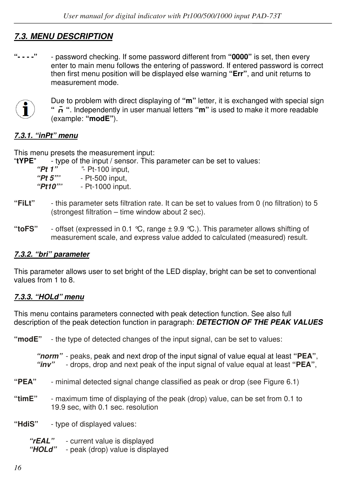# *7.3. MENU DESCRIPTION*

**"- - - -"** - password checking. If some password different from **"0000"** is set, then every enter to main menu follows the entering of password. If entered password is correct then first menu position will be displayed else warning **"Err"**, and unit returns to measurement mode.



Due to problem with direct displaying of **"m"** letter, it is exchanged with special sign **" "**. Independently in user manual letters **"m"** is used to make it more readable (example: **"modE"**).

#### *7.3.1. "inPt" menu*

This menu presets the measurement input:

"**tYPE**" - type of the input / sensor. This parameter can be set to values:

*"Pt 1" "*- Pt-100 input, *"Pt 5""* - Pt-500 input, *"Pt10""* - Pt-1000 input.

- **"FiLt"**  this parameter sets filtration rate. It can be set to values from 0 (no filtration) to 5 (strongest filtration – time window about 2 sec).
- **"toFS"**  offset (expressed in 0.1 °C, range ± 9.9 °C.). This parameter allows shifting of measurement scale, and express value added to calculated (measured) result.

#### *7.3.2. "bri" parameter*

This parameter allows user to set bright of the LED display, bright can be set to conventional values from 1 to 8.

#### *7.3.3. "HOLd" menu*

This menu contains parameters connected with peak detection function. See also full description of the peak detection function in paragraph: *DETECTION OF THE PEAK VALUES* 

**"modE"** - the type of detected changes of the input signal, can be set to values:

*"norm"* - peaks, peak and next drop of the input signal of value equal at least **"PEA"**, *"inv"* - drops, drop and next peak of the input signal of value equal at least **"PEA"**,

- **"PEA"**  minimal detected signal change classified as peak or drop (see Figure 6.1)
- **"timE"**  maximum time of displaying of the peak (drop) value, can be set from 0.1 to 19.9 sec, with 0.1 sec. resolution
- **"HdiS"**  type of displayed values:

 *"rEAL"* - current value is displayed  *"HOLd"* - peak (drop) value is displayed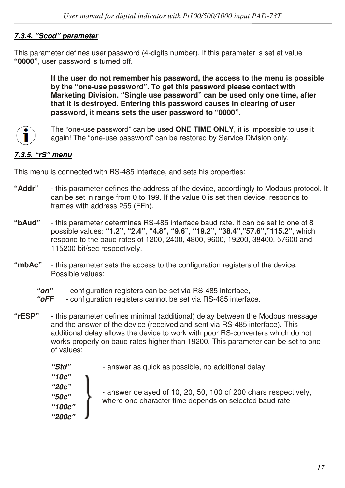#### *7.3.4. "Scod" parameter*

This parameter defines user password (4-digits number). If this parameter is set at value **"0000"**, user password is turned off.

> **If the user do not remember his password, the access to the menu is possible by the "one-use password". To get this password please contact with Marketing Division. "Single use password" can be used only one time, after that it is destroyed. Entering this password causes in clearing of user password, it means sets the user password to "0000".**



The "one-use password" can be used **ONE TIME ONLY**, it is impossible to use it again! The "one-use password" can be restored by Service Division only.

### *7.3.5. "rS" menu*

This menu is connected with RS-485 interface, and sets his properties:

- **"Addr"**  this parameter defines the address of the device, accordingly to Modbus protocol. It can be set in range from 0 to 199. If the value 0 is set then device, responds to frames with address 255 (FFh).
- **"bAud"**  this parameter determines RS-485 interface baud rate. It can be set to one of 8 possible values: **"1.2"**, **"2.4"**, **"4.8", "9.6"**, **"19.2"**, **"38.4"**,**"57.6"**,**"115.2"**, which respond to the baud rates of 1200, 2400, 4800, 9600, 19200, 38400, 57600 and 115200 bit/sec respectively.
- **"mbAc"**  this parameter sets the access to the configuration registers of the device. Possible values:
	- *"on"*  configuration registers can be set via RS-485 interface,
	- *"oFF*  configuration registers cannot be set via RS-485 interface.
- **"rESP"**  this parameter defines minimal (additional) delay between the Modbus message and the answer of the device (received and sent via RS-485 interface). This additional delay allows the device to work with poor RS-converters which do not works properly on baud rates higher than 19200. This parameter can be set to one of values:

 *"Std"* - answer as quick as possible, no additional delay  *"10c" "20c" "50c" "100c" "200c"*  - answer delayed of 10, 20, 50, 100 of 200 chars respectively, where one character time depends on selected baud rate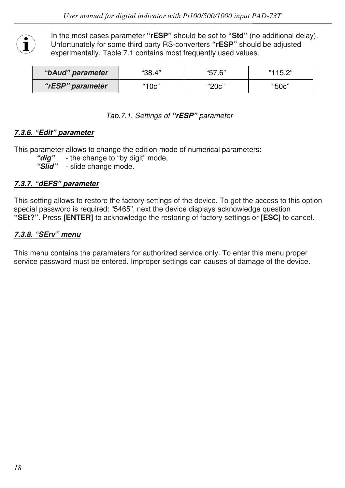

In the most cases parameter **"rESP"** should be set to **"Std"** (no additional delay). Unfortunately for some third party RS-converters **"rESP"** should be adjusted experimentally. Table 7.1 contains most frequently used values.

| "bAud" parameter | "38.4" | "57.6" | "115.2" |  |
|------------------|--------|--------|---------|--|
| "rESP" parameter | "10c"  | "20c"  | "50c"   |  |

#### *Tab.7.1. Settings of "rESP" parameter*

#### *7.3.6. "Edit" parameter*

This parameter allows to change the edition mode of numerical parameters:

"**dig**" - the change to "by digit" mode,

 *"Slid"* - slide change mode.

#### *7.3.7. "dEFS" parameter*

This setting allows to restore the factory settings of the device. To get the access to this option special password is required: "5465", next the device displays acknowledge question **"SEt?"**. Press **[ENTER]** to acknowledge the restoring of factory settings or **[ESC]** to cancel.

#### *7.3.8. "SErv" menu*

This menu contains the parameters for authorized service only. To enter this menu proper service password must be entered. Improper settings can causes of damage of the device.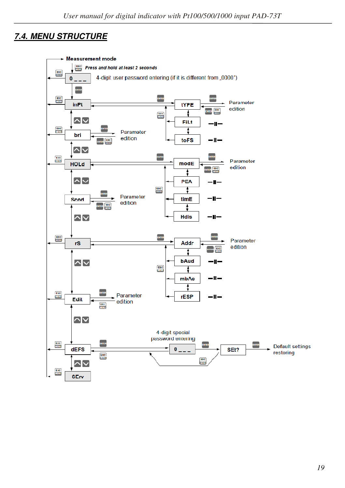# *7.4. MENU STRUCTURE*

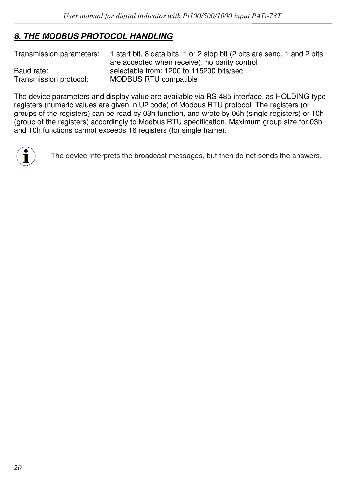# *8. THE MODBUS PROTOCOL HANDLING*

| Transmission parameters: | 1 start bit, 8 data bits, 1 or 2 stop bit (2 bits are send, 1 and 2 bits |
|--------------------------|--------------------------------------------------------------------------|
|                          | are accepted when receive), no parity control                            |
| Baud rate:               | selectable from: 1200 to 115200 bits/sec                                 |
| Transmission protocol:   | MODBUS RTU compatible                                                    |

The device parameters and display value are available via RS-485 interface, as HOLDING-type registers (numeric values are given in U2 code) of Modbus RTU protocol. The registers (or groups of the registers) can be read by 03h function, and wrote by 06h (single registers) or 10h (group of the registers) accordingly to Modbus RTU specification. Maximum group size for 03h and 10h functions cannot exceeds 16 registers (for single frame).



The device interprets the broadcast messages, but then do not sends the answers.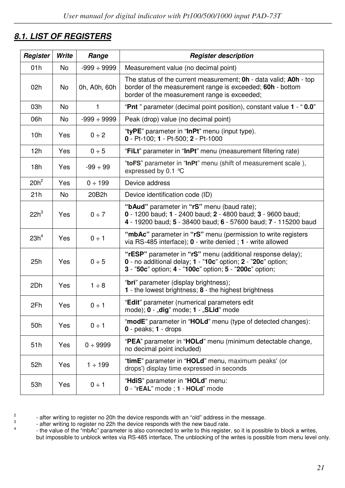# *8.1. LIST OF REGISTERS*

| Register                        | Write     | Range            | <b>Register description</b>                                                                                                                                                                  |  |  |  |
|---------------------------------|-----------|------------------|----------------------------------------------------------------------------------------------------------------------------------------------------------------------------------------------|--|--|--|
| 01h                             | No        | $-999 \div 9999$ | Measurement value (no decimal point)                                                                                                                                                         |  |  |  |
| 02h<br>No<br>0h, A0h, 60h       |           |                  | The status of the current measurement: <b>Oh</b> - data valid: <b>AOh</b> - top<br>border of the measurement range is exceeded; 60h - bottom<br>border of the measurement range is exceeded; |  |  |  |
| 03h                             | No.       | $\mathbf{1}$     | "Pnt " parameter (decimal point position), constant value 1 - "0.0"                                                                                                                          |  |  |  |
| 06h                             | <b>No</b> | $-999 \div 9999$ | Peak (drop) value (no decimal point)                                                                                                                                                         |  |  |  |
| 10h                             | Yes       | $0 \div 2$       | "tyPE" parameter in "InPt" menu (input type).<br>0 - Pt-100; 1 - Pt-500; 2 - Pt-1000                                                                                                         |  |  |  |
| 12h                             | Yes       | 0 ÷ 5            | "FiLt" parameter in "InPt" menu (measurement filtering rate)                                                                                                                                 |  |  |  |
| 18h                             | Yes       | $-99 \div 99$    | "toFS" parameter in "InPt" menu (shift of measurement scale),<br>expressed by 0.1 ℃                                                                                                          |  |  |  |
| $20h^2$                         | Yes       | $0 \div 199$     | Device address                                                                                                                                                                               |  |  |  |
| 21h                             | <b>No</b> | 20B2h            | Device identification code (ID)                                                                                                                                                              |  |  |  |
| $22h^3$                         | Yes       | $0 \div 7$       | "bAud" parameter in "rS" menu (baud rate);<br>0 - 1200 baud; 1 - 2400 baud; 2 - 4800 baud; 3 - 9600 baud;<br>4 - 19200 baud; 5 - 38400 baud; 6 - 57600 baud; 7 - 115200 baud                 |  |  |  |
| 23h <sup>4</sup>                | Yes       | $0 \div 1$       | "mbAc" parameter in "rS" menu (permission to write registers<br>via RS-485 interface); 0 - write denied; 1 - write allowed                                                                   |  |  |  |
| 25h<br>Yes<br>0 ÷ 5             |           |                  | "rESP" parameter in "rS" menu (additional response delay);<br>0 - no additional delay; 1 - "10c" option; 2 - "20c" option;<br>3 - "50c" option; 4 - "100c" option; 5 - "200c" option;        |  |  |  |
| 2Dh                             | Yes       | $1 \div 8$       | "bri" parameter (display brightness);<br>1 - the lowest brightness; 8 - the highest brightness                                                                                               |  |  |  |
| 2Fh<br>$0 \div 1$<br><b>Yes</b> |           |                  | "Edit" parameter (numerical parameters edit<br>mode); 0 - "dig" mode; 1 - "SLid" mode                                                                                                        |  |  |  |
| 50h                             | Yes       | $0 \div 1$       | "modE" parameter in "HOLd" menu (type of detected changes):<br>$0$ - peaks; $1$ - drops                                                                                                      |  |  |  |
| 51h<br>Yes<br>0 ÷ 9999          |           |                  | "PEA" parameter in "HOLd" menu (minimum detectable change,<br>no decimal point included)                                                                                                     |  |  |  |
| 52h                             | Yes       | $1 \div 199$     | "timE" parameter in "HOLd" menu, maximum peaks' (or<br>drops') display time expressed in seconds                                                                                             |  |  |  |
| 53h<br>Yes<br>$0 \div 1$        |           |                  | "HdiS" parameter in "HOLd" menu:<br>0 - "rEAL" mode ; 1 - HOLd" mode                                                                                                                         |  |  |  |

2 3 4 - after writing to register no 20h the device responds with an "old" address in the message.

- after writing to register no 22h the device responds with the new baud rate.

 - the value of the "mbAc" parameter is also connected to write to this register, so it is possible to block a writes, but impossible to unblock writes via RS-485 interface, The unblocking of the writes is possible from menu level only.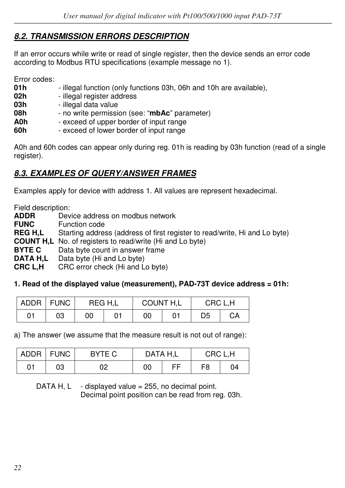## *8.2. TRANSMISSION ERRORS DESCRIPTION*

If an error occurs while write or read of single register, then the device sends an error code according to Modbus RTU specifications (example message no 1).

Error codes:

| 01 h | - illegal function (only functions 03h, 06h and 10h are available), |
|------|---------------------------------------------------------------------|
| 02h  | - illegal register address                                          |
| 03h  | - illegal data value                                                |
| 08h  | - no write permission (see: "mbAc" parameter)                       |
| A0h  | - exceed of upper border of input range                             |
| 60h  | - exceed of lower border of input range                             |

A0h and 60h codes can appear only during reg. 01h is reading by 03h function (read of a single register).

## *8.3. EXAMPLES OF QUERY/ANSWER FRAMES*

Examples apply for device with address 1. All values are represent hexadecimal.

Field description:

| <b>ADDR</b>    | Device address on modbus network                                           |
|----------------|----------------------------------------------------------------------------|
| <b>FUNC</b>    | Function code                                                              |
| <b>REG H.L</b> | Starting address (address of first register to read/write, Hi and Lo byte) |
|                | <b>COUNT H.L</b> No. of registers to read/write (Hi and Lo byte)           |
| <b>BYTE C</b>  | Data byte count in answer frame                                            |
| DATA H.L       | Data byte (Hi and Lo byte)                                                 |
| <b>CRC L.H</b> | CRC error check (Hi and Lo byte)                                           |
|                |                                                                            |

#### **1. Read of the displayed value (measurement), PAD-73T device address = 01h:**

| ADDR | I FUNC |  | REG H.L | COUNT H,L |  | CRC L.H |    |
|------|--------|--|---------|-----------|--|---------|----|
| 01   | 03     |  |         | 00        |  | D5      | CА |

a) The answer (we assume that the measure result is not out of range):

|    | ADDR   FUNC | BYTE C | DATA H.L |    | CRC L.H |    |
|----|-------------|--------|----------|----|---------|----|
| 01 | 03          | 02     | 00       | FЕ | F8      | 04 |

DATA H,  $L -$  displayed value = 255, no decimal point. Decimal point position can be read from reg. 03h.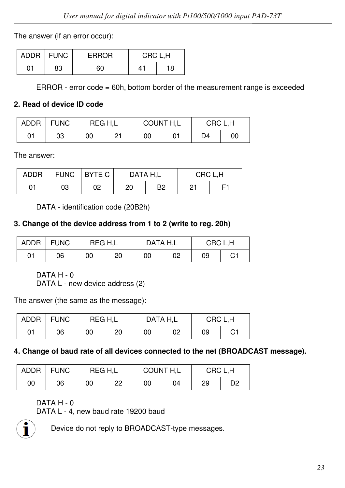The answer (if an error occur):

|    | ADDR   FUNC | <b>ERROR</b> | CRC L.H |    |  |
|----|-------------|--------------|---------|----|--|
| 01 | 83          | 60           | 41      | 18 |  |

ERROR - error code = 60h, bottom border of the measurement range is exceeded

#### **2. Read of device ID code**

| <b>ADDR</b> | <b>FUNC</b> | REG H.L |    | <b>COUNT H.L</b> |  | CRC L.H |    |
|-------------|-------------|---------|----|------------------|--|---------|----|
| 01          | 03          | 00      | 21 | 00               |  | D4      | 00 |

The answer:

| <b>ADDR</b> | <b>FUNC</b> | I BYTE C<br>DATA H.L<br>CRC L.H |    |                |    |   |
|-------------|-------------|---------------------------------|----|----------------|----|---|
| 01          | 03          | 02                              | 20 | B <sub>2</sub> | 21 | ᄃ |

DATA - identification code (20B2h)

#### **3. Change of the device address from 1 to 2 (write to reg. 20h)**

| <b>ADDR</b> | <b>FUNC</b> |    | REG H.L |    | DATA H.L |    | CRC L.H |  |
|-------------|-------------|----|---------|----|----------|----|---------|--|
| 01          | 06          | 00 | 20      | 00 | 02       | 09 | C1      |  |

DATA H - 0

DATA L - new device address (2)

The answer (the same as the message):

| ADDR | <b>FUNC</b> | REG H.L |    | DATA H.L |    | CRC L.H |    |
|------|-------------|---------|----|----------|----|---------|----|
| 01   | 06          | 00      | 20 | 00       | 02 | 09      | С1 |

#### **4. Change of baud rate of all devices connected to the net (BROADCAST message).**

| <b>ADDR</b> | <b>FUNC</b> | REG H.L |    | <b>COUNT H.L</b> |    | CRC L.H |    |
|-------------|-------------|---------|----|------------------|----|---------|----|
| 00          | 06          | 00      | 22 | 00               | 04 | 29      | D2 |

DATA H - 0

DATA L - 4, new baud rate 19200 baud



Device do not reply to BROADCAST-type messages.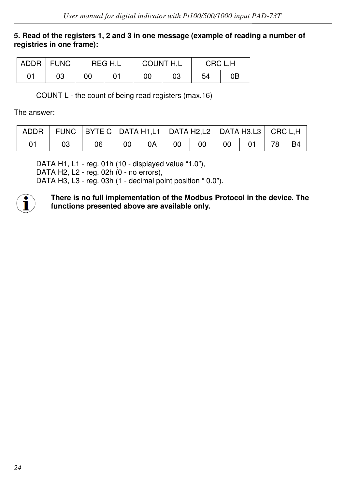#### **5. Read of the registers 1, 2 and 3 in one message (example of reading a number of registries in one frame):**

|    | ADDR FUNC |    | REG H.L | <b>COUNT H,L</b> |    | CRC L.H |    |
|----|-----------|----|---------|------------------|----|---------|----|
| 01 | 03        | 00 |         | 00               | 03 | 54      | 0Β |

COUNT L - the count of being read registers (max.16)

The answer:

|  | ADDR   FUNC   BYTE C   DATA H1,L1   DATA H2,L2   DATA H3,L3   CRC L,H |    |  |  |         |  |
|--|-----------------------------------------------------------------------|----|--|--|---------|--|
|  | 06                                                                    | 00 |  |  | 78   B4 |  |

 DATA H1, L1 - reg. 01h (10 - displayed value "1.0"), DATA H2, L2 - reg. 02h (0 - no errors), DATA H3, L3 - reg. 03h (1 - decimal point position "0.0").



**There is no full implementation of the Modbus Protocol in the device. The functions presented above are available only.**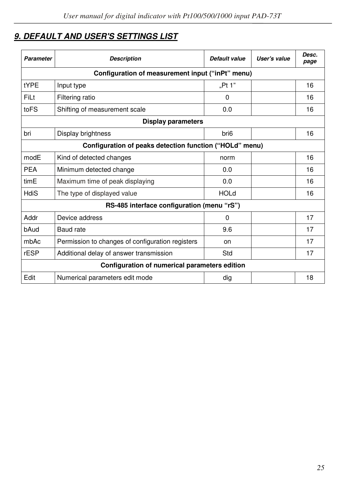# *9. DEFAULT AND USER'S SETTINGS LIST*

| <b>Parameter</b>                                        | <b>Description</b>                               | Default value    | User's value | Desc.<br>page |  |  |  |  |  |  |
|---------------------------------------------------------|--------------------------------------------------|------------------|--------------|---------------|--|--|--|--|--|--|
|                                                         | Configuration of measurement input ("inPt" menu) |                  |              |               |  |  |  |  |  |  |
| <b>tYPE</b>                                             | Input type                                       | "Pt $1"$         |              | 16            |  |  |  |  |  |  |
| FiLt                                                    | Filtering ratio                                  | $\Omega$         |              | 16            |  |  |  |  |  |  |
| toFS                                                    | Shifting of measurement scale                    | 0.0              |              | 16            |  |  |  |  |  |  |
|                                                         | <b>Display parameters</b>                        |                  |              |               |  |  |  |  |  |  |
| bri                                                     | Display brightness                               | bri <sub>6</sub> |              | 16            |  |  |  |  |  |  |
| Configuration of peaks detection function ("HOLd" menu) |                                                  |                  |              |               |  |  |  |  |  |  |
| modE                                                    | Kind of detected changes                         | norm             |              | 16            |  |  |  |  |  |  |
| <b>PFA</b>                                              | Minimum detected change                          | 0.0              |              | 16            |  |  |  |  |  |  |
| timE                                                    | Maximum time of peak displaying                  | 0.0              |              | 16            |  |  |  |  |  |  |
| HdiS                                                    | The type of displayed value                      | <b>HOLd</b>      |              | 16            |  |  |  |  |  |  |
|                                                         | RS-485 interface configuration (menu "rS")       |                  |              |               |  |  |  |  |  |  |
| Addr                                                    | Device address                                   | 0                |              | 17            |  |  |  |  |  |  |
| bAud                                                    | Baud rate                                        | 9.6              |              | 17            |  |  |  |  |  |  |
| mbAc                                                    | Permission to changes of configuration registers | on               |              | 17            |  |  |  |  |  |  |
| rESP                                                    | Additional delay of answer transmission          | Std              |              | 17            |  |  |  |  |  |  |
|                                                         | Configuration of numerical parameters edition    |                  |              |               |  |  |  |  |  |  |
| Edit                                                    | Numerical parameters edit mode                   | dig              |              | 18            |  |  |  |  |  |  |